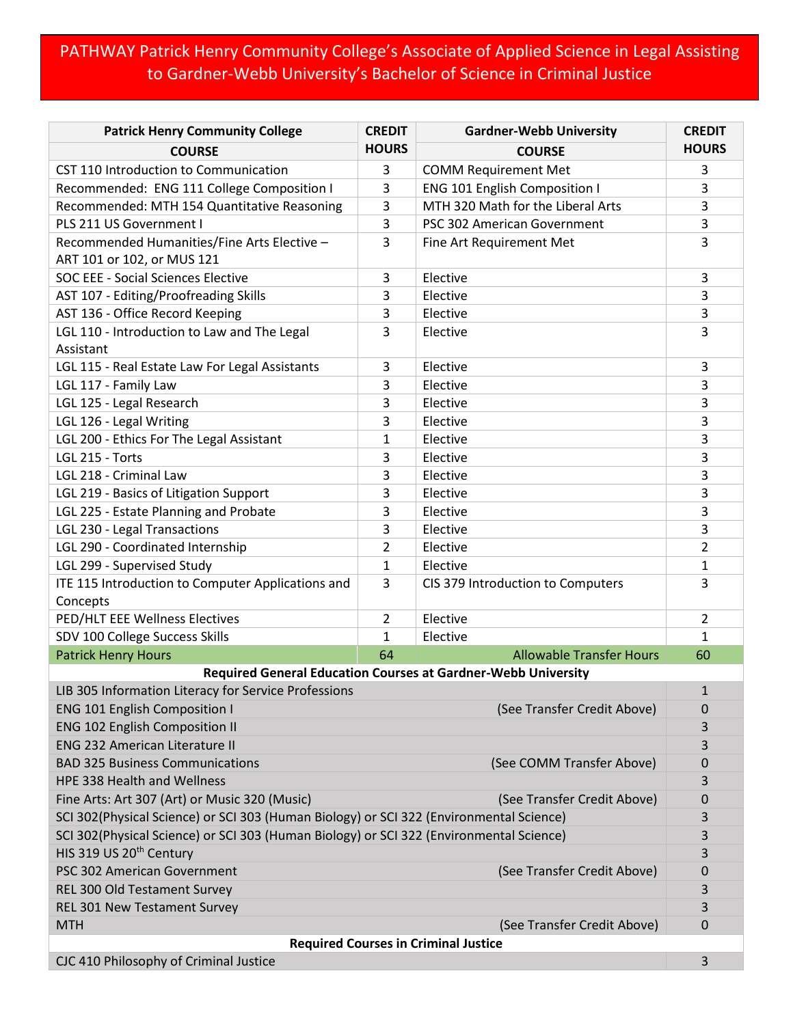## PATHWAY Patrick Henry Community College's Associate of Applied Science in Legal Assisting to Gardner-Webb University's Bachelor of Science in Criminal Justice

| <b>Patrick Henry Community College</b>                                                  | <b>CREDIT</b>  | <b>Gardner-Webb University</b>    | <b>CREDIT</b>  |  |
|-----------------------------------------------------------------------------------------|----------------|-----------------------------------|----------------|--|
| <b>COURSE</b>                                                                           | <b>HOURS</b>   | <b>COURSE</b>                     | <b>HOURS</b>   |  |
| CST 110 Introduction to Communication                                                   | 3              | <b>COMM Requirement Met</b>       | 3              |  |
| Recommended: ENG 111 College Composition I                                              | 3              | ENG 101 English Composition I     | 3              |  |
| Recommended: MTH 154 Quantitative Reasoning                                             | 3              | MTH 320 Math for the Liberal Arts | 3              |  |
| PLS 211 US Government I                                                                 | 3              | PSC 302 American Government       | 3              |  |
| Recommended Humanities/Fine Arts Elective -<br>ART 101 or 102, or MUS 121               | 3              | Fine Art Requirement Met          | 3              |  |
| SOC EEE - Social Sciences Elective                                                      | 3              | Elective                          | 3              |  |
| AST 107 - Editing/Proofreading Skills                                                   | 3              | Elective                          | 3              |  |
| AST 136 - Office Record Keeping                                                         | 3              | Elective                          | 3              |  |
| LGL 110 - Introduction to Law and The Legal                                             | 3              | Elective                          | 3              |  |
| Assistant                                                                               |                |                                   |                |  |
| LGL 115 - Real Estate Law For Legal Assistants                                          | 3              | Elective                          | 3              |  |
| LGL 117 - Family Law                                                                    | 3              | Elective                          | 3              |  |
| LGL 125 - Legal Research                                                                | 3              | Elective                          | 3              |  |
| LGL 126 - Legal Writing                                                                 | 3              | Elective                          | 3              |  |
| LGL 200 - Ethics For The Legal Assistant                                                | 1              | Elective                          | 3              |  |
| LGL 215 - Torts                                                                         | 3              | Elective                          | 3              |  |
| LGL 218 - Criminal Law                                                                  | 3              | Elective                          | 3              |  |
| LGL 219 - Basics of Litigation Support                                                  | 3              | Elective                          | 3              |  |
| LGL 225 - Estate Planning and Probate                                                   | 3              | Elective                          | 3              |  |
| LGL 230 - Legal Transactions                                                            | 3              | Elective                          | 3              |  |
| LGL 290 - Coordinated Internship                                                        | $\overline{2}$ | Elective                          | 2              |  |
| LGL 299 - Supervised Study                                                              | $\mathbf{1}$   | Elective                          | 1              |  |
| ITE 115 Introduction to Computer Applications and                                       | 3              | CIS 379 Introduction to Computers | 3              |  |
| Concepts                                                                                |                |                                   |                |  |
| PED/HLT EEE Wellness Electives                                                          | $\overline{2}$ | Elective                          | $\overline{2}$ |  |
| SDV 100 College Success Skills                                                          | $\mathbf{1}$   | Elective                          | $\mathbf{1}$   |  |
| <b>Patrick Henry Hours</b>                                                              | 64             | <b>Allowable Transfer Hours</b>   | 60             |  |
| <b>Required General Education Courses at Gardner-Webb University</b>                    |                |                                   |                |  |
| LIB 305 Information Literacy for Service Professions                                    |                |                                   | $\mathbf{1}$   |  |
| (See Transfer Credit Above)<br><b>ENG 101 English Composition I</b>                     |                |                                   | 0              |  |
| <b>ENG 102 English Composition II</b>                                                   |                |                                   | 3              |  |
| <b>ENG 232 American Literature II</b>                                                   |                |                                   | 3              |  |
| <b>BAD 325 Business Communications</b><br>(See COMM Transfer Above)                     |                |                                   | 0              |  |
| <b>HPE 338 Health and Wellness</b>                                                      |                |                                   | 3              |  |
| Fine Arts: Art 307 (Art) or Music 320 (Music)<br>(See Transfer Credit Above)            |                |                                   | 0              |  |
| SCI 302(Physical Science) or SCI 303 (Human Biology) or SCI 322 (Environmental Science) |                |                                   | 3              |  |
| SCI 302(Physical Science) or SCI 303 (Human Biology) or SCI 322 (Environmental Science) |                |                                   | 3              |  |
| HIS 319 US 20 <sup>th</sup> Century                                                     |                |                                   | 3              |  |
| PSC 302 American Government                                                             |                | (See Transfer Credit Above)       | 0              |  |
| REL 300 Old Testament Survey                                                            |                |                                   | 3              |  |
| REL 301 New Testament Survey                                                            |                |                                   | 3              |  |
| <b>MTH</b>                                                                              |                | (See Transfer Credit Above)       | 0              |  |
| <b>Required Courses in Criminal Justice</b>                                             |                |                                   |                |  |
| CJC 410 Philosophy of Criminal Justice                                                  |                |                                   | 3              |  |